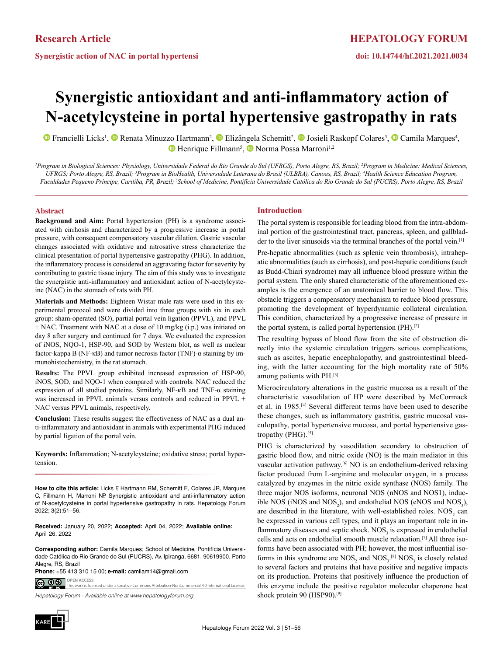# **Synergistic antioxidant and anti-inflammatory action of N-acetylcysteine in portal hypertensive gastropathy in rats**

FrancielliLicks<sup>1</sup>, **D** Renata Minuzzo Hartmann<sup>2</sup>, **D** Elizângela Schemitt<sup>2</sup>, **D** Josieli Raskopf Colares<sup>3</sup>, **D** Camila Marques<sup>4</sup>, HenriqueFillmann<sup>5</sup>, Norma Possa Marroni<sup>1,2</sup>

*1 Program in Biological Sciences: Physiology, Universidade Federal do Rio Grande do Sul (UFRGS), Porto Alegre, RS, Brazil; 2 Program in Medicine: Medical Sciences, UFRGS; Porto Alegre, RS, Brazil; 3 Program in BioHealth, Universidade Luterana do Brasil (ULBRA), Canoas, RS, Brazil; 4 Health Science Education Program, Faculdades Pequeno Príncipe, Curitiba, PR, Brazil; 5 School of Medicine, Pontifícia Universidade Católica do Rio Grande do Sul (PUCRS), Porto Alegre, RS, Brazil*

### **Abstract**

**Background and Aim:** Portal hypertension (PH) is a syndrome associated with cirrhosis and characterized by a progressive increase in portal pressure, with consequent compensatory vascular dilation. Gastric vascular changes associated with oxidative and nitrosative stress characterize the clinical presentation of portal hypertensive gastropathy (PHG). In addition, the inflammatory process is considered an aggravating factor for severity by contributing to gastric tissue injury. The aim of this study was to investigate the synergistic anti-inflammatory and antioxidant action of N-acetylcysteine (NAC) in the stomach of rats with PH.

**Materials and Methods:** Eighteen Wistar male rats were used in this experimental protocol and were divided into three groups with six in each group: sham-operated (SO), partial portal vein ligation (PPVL), and PPVL + NAC. Treatment with NAC at a dose of 10 mg/kg (i.p.) was initiated on day 8 after surgery and continued for 7 days. We evaluated the expression of iNOS, NQO-1, HSP-90, and SOD by Western blot, as well as nuclear factor-kappa B (NF-κB) and tumor necrosis factor (TNF)-α staining by immunohistochemistry, in the rat stomach.

**Results:** The PPVL group exhibited increased expression of HSP-90, iNOS, SOD, and NQO-1 when compared with controls. NAC reduced the expression of all studied proteins. Similarly, NF-κB and TNF-α staining was increased in PPVL animals versus controls and reduced in PPVL + NAC versus PPVL animals, respectively.

**Conclusion:** These results suggest the effectiveness of NAC as a dual anti-inflammatory and antioxidant in animals with experimental PHG induced by partial ligation of the portal vein.

**Keywords:** Inflammation; N-acetylcysteine; oxidative stress; portal hypertension.

**How to cite this article:** Licks F, Hartmann RM, Schemitt E, Colares JR, Marques C, Fillmann H, Marroni NP. Synergistic antioxidant and anti-inflammatory action of N-acetylcysteine in portal hypertensive gastropathy in rats. Hepatology Forum 2022; 3(2):51–56.

**Received:** January 20, 2022; **Accepted:** April 04, 2022; **Available online:** April 26, 2022

**Corresponding author:** Camila Marques; School of Medicine, Pontifícia Universidade Católica do Rio Grande do Sul (PUCRS), Av. Ipiranga, 6681, 90619900, Porto Alegre, RS, Brazil

**OPEN ACCESS Phone:** +55 413 310 15 00; **e-mail:** camilam14@gmail.com

<u>© 0 ®</u> This work is licensed under a Creative Commons Attribution-NonCommercial 4.0 International License.

*Hepatology Forum - Available online at www.hepatologyforum.org*



## **Introduction**

The portal system is responsible for leading blood from the intra-abdominal portion of the gastrointestinal tract, pancreas, spleen, and gallbladder to the liver sinusoids via the terminal branches of the portal vein.<sup>[1]</sup>

Pre-hepatic abnormalities (such as splenic vein thrombosis), intrahepatic abnormalities (such as cirrhosis), and post-hepatic conditions (such as Budd-Chiari syndrome) may all influence blood pressure within the portal system. The only shared characteristic of the aforementioned examples is the emergence of an anatomical barrier to blood flow. This obstacle triggers a compensatory mechanism to reduce blood pressure, promoting the development of hyperdynamic collateral circulation. This condition, characterized by a progressive increase of pressure in the portal system, is called portal hypertension (PH).[2]

The resulting bypass of blood flow from the site of obstruction directly into the systemic circulation triggers serious complications, such as ascites, hepatic encephalopathy, and gastrointestinal bleeding, with the latter accounting for the high mortality rate of 50% among patients with PH.[3]

Microcirculatory alterations in the gastric mucosa as a result of the characteristic vasodilation of HP were described by McCormack et al. in 1985.[4] Several different terms have been used to describe these changes, such as inflammatory gastritis, gastric mucosal vasculopathy, portal hypertensive mucosa, and portal hypertensive gastropathy (PHG).[5]

PHG is characterized by vasodilation secondary to obstruction of gastric blood flow, and nitric oxide (NO) is the main mediator in this vascular activation pathway.[6] NO is an endothelium-derived relaxing factor produced from L-arginine and molecular oxygen, in a process catalyzed by enzymes in the nitric oxide synthase (NOS) family. The three major NOS isoforms, neuronal NOS (nNOS and NOS1), inducible NOS (iNOS and  $NOS_2$ ), and endothelial NOS (eNOS and  $NOS_3$ ), are described in the literature, with well-established roles.  $NOS_2$  can be expressed in various cell types, and it plays an important role in inflammatory diseases and septic shock.  $NOS<sub>3</sub>$  is expressed in endothelial cells and acts on endothelial smooth muscle relaxation.[7] All three isoforms have been associated with PH; however, the most influential isoforms in this syndrome are  $NOS_2$  and  $NOS_3$ .<sup>[8]</sup>  $NOS_3$  is closely related to several factors and proteins that have positive and negative impacts on its production. Proteins that positively influence the production of this enzyme include the positive regulator molecular chaperone heat shock protein 90 (HSP90).<sup>[9]</sup>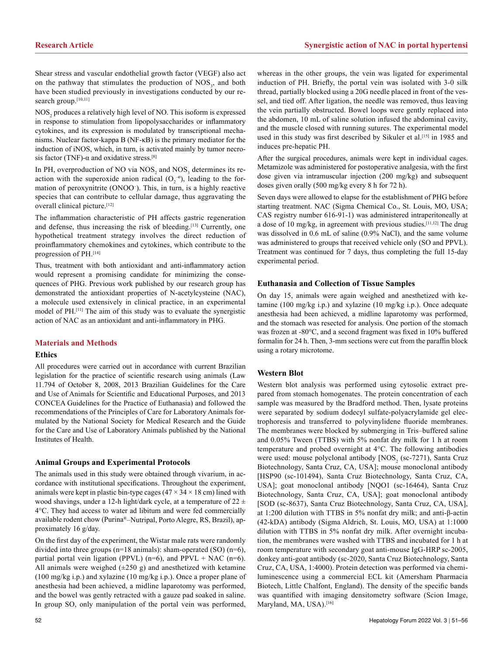Shear stress and vascular endothelial growth factor (VEGF) also act on the pathway that stimulates the production of  $NOS<sub>3</sub>$ , and both have been studied previously in investigations conducted by our research group.<sup>[10,11]</sup>

 $NOS<sub>2</sub>$  produces a relatively high level of NO. This isoform is expressed in response to stimulation from lipopolysaccharides or inflammatory cytokines, and its expression is modulated by transcriptional mechanisms. Nuclear factor-kappa B (NF-κB) is the primary mediator for the induction of iNOS, which, in turn, is activated mainly by tumor necrosis factor (TNF)- $\alpha$  and oxidative stress.<sup>[8]</sup>

In PH, overproduction of NO via  $NOS_2$  and  $NOS_3$  determines its reaction with the superoxide anion radical  $(O_2^{-0})$ , leading to the formation of peroxynitrite (ONOO– ). This, in turn, is a highly reactive species that can contribute to cellular damage, thus aggravating the overall clinical picture.[12]

The inflammation characteristic of PH affects gastric regeneration and defense, thus increasing the risk of bleeding.<sup>[13]</sup> Currently, one hypothetical treatment strategy involves the direct reduction of proinflammatory chemokines and cytokines, which contribute to the progression of PH.[14]

Thus, treatment with both antioxidant and anti-inflammatory action would represent a promising candidate for minimizing the consequences of PHG. Previous work published by our research group has demonstrated the antioxidant properties of N-acetylcysteine (NAC), a molecule used extensively in clinical practice, in an experimental model of PH.[11] The aim of this study was to evaluate the synergistic action of NAC as an antioxidant and anti-inflammatory in PHG.

## **Materials and Methods**

#### **Ethics**

All procedures were carried out in accordance with current Brazilian legislation for the practice of scientific research using animals (Law 11.794 of October 8, 2008, 2013 Brazilian Guidelines for the Care and Use of Animals for Scientific and Educational Purposes, and 2013 CONCEA Guidelines for the Practice of Euthanasia) and followed the recommendations of the Principles of Care for Laboratory Animals formulated by the National Society for Medical Research and the Guide for the Care and Use of Laboratory Animals published by the National Institutes of Health.

## **Animal Groups and Experimental Protocols**

The animals used in this study were obtained through vivarium, in accordance with institutional specifications. Throughout the experiment, animals were kept in plastic bin-type cages  $(47 \times 34 \times 18 \text{ cm})$  lined with wood shavings, under a 12-h light/dark cycle, at a temperature of  $22 \pm$ 4°C. They had access to water ad libitum and were fed commercially available rodent chow (Purina®–Nutripal, Porto Alegre, RS, Brazil), approximately 16 g/day.

On the first day of the experiment, the Wistar male rats were randomly divided into three groups (n=18 animals): sham-operated (SO) (n=6), partial portal vein ligation (PPVL) ( $n=6$ ), and PPVL + NAC ( $n=6$ ). All animals were weighed  $(\pm 250 \text{ g})$  and anesthetized with ketamine (100 mg/kg i.p.) and xylazine (10 mg/kg i.p.). Once a proper plane of anesthesia had been achieved, a midline laparotomy was performed, and the bowel was gently retracted with a gauze pad soaked in saline. In group SO, only manipulation of the portal vein was performed,

whereas in the other groups, the vein was ligated for experimental induction of PH. Briefly, the portal vein was isolated with 3-0 silk thread, partially blocked using a 20G needle placed in front of the vessel, and tied off. After ligation, the needle was removed, thus leaving the vein partially obstructed. Bowel loops were gently replaced into the abdomen, 10 mL of saline solution infused the abdominal cavity, and the muscle closed with running sutures. The experimental model used in this study was first described by Sikuler et al.<sup>[15]</sup> in 1985 and induces pre-hepatic PH.

After the surgical procedures, animals were kept in individual cages. Metamizole was administered for postoperative analgesia, with the first dose given via intramuscular injection (200 mg/kg) and subsequent doses given orally (500 mg/kg every 8 h for 72 h).

Seven days were allowed to elapse for the establishment of PHG before starting treatment. NAC (Sigma Chemical Co., St. Louis, MO, USA; CAS registry number 616-91-1) was administered intraperitoneally at a dose of 10 mg/kg, in agreement with previous studies.[11,12] The drug was dissolved in 0.6 mL of saline (0.9% NaCl), and the same volume was administered to groups that received vehicle only (SO and PPVL). Treatment was continued for 7 days, thus completing the full 15-day experimental period.

### **Euthanasia and Collection of Tissue Samples**

On day 15, animals were again weighed and anesthetized with ketamine (100 mg/kg i.p.) and xylazine (10 mg/kg i.p.). Once adequate anesthesia had been achieved, a midline laparotomy was performed, and the stomach was resected for analysis. One portion of the stomach was frozen at -80°C, and a second fragment was fixed in 10% buffered formalin for 24 h. Then, 3-mm sections were cut from the paraffin block using a rotary microtome.

## **Western Blot**

Western blot analysis was performed using cytosolic extract prepared from stomach homogenates. The protein concentration of each sample was measured by the Bradford method. Then, lysate proteins were separated by sodium dodecyl sulfate-polyacrylamide gel electrophoresis and transferred to polyvinylidene fluoride membranes. The membranes were blocked by submerging in Tris–buffered saline and 0.05% Tween (TTBS) with 5% nonfat dry milk for 1 h at room temperature and probed overnight at 4°C. The following antibodies were used: mouse polyclonal antibody  $[NOS_2$  (sc-7271), Santa Cruz Biotechnology, Santa Cruz, CA, USA]; mouse monoclonal antibody [HSP90 (sc-101494), Santa Cruz Biotechnology, Santa Cruz, CA, USA]; goat monoclonal antibody [NQO1 (sc-16464), Santa Cruz Biotechnology, Santa Cruz, CA, USA]; goat monoclonal antibody [SOD (sc-8637), Santa Cruz Biotechnology, Santa Cruz, CA, USA], at 1:200 dilution with TTBS in 5% nonfat dry milk; and anti-β-actin (42-kDA) antibody (Sigma Aldrich, St. Louis, MO, USA) at 1:1000 dilution with TTBS in 5% nonfat dry milk. After overnight incubation, the membranes were washed with TTBS and incubated for 1 h at room temperature with secondary goat anti-mouse IgG-HRP sc-2005, donkey anti-goat antibody (sc-2020, Santa Cruz Biotechnology, Santa Cruz, CA, USA, 1:4000). Protein detection was performed via chemiluminescence using a commercial ECL kit (Amersham Pharmacia Biotech, Little Chalfont, England). The density of the specific bands was quantified with imaging densitometry software (Scion Image, Maryland, MA, USA).<sup>[16]</sup>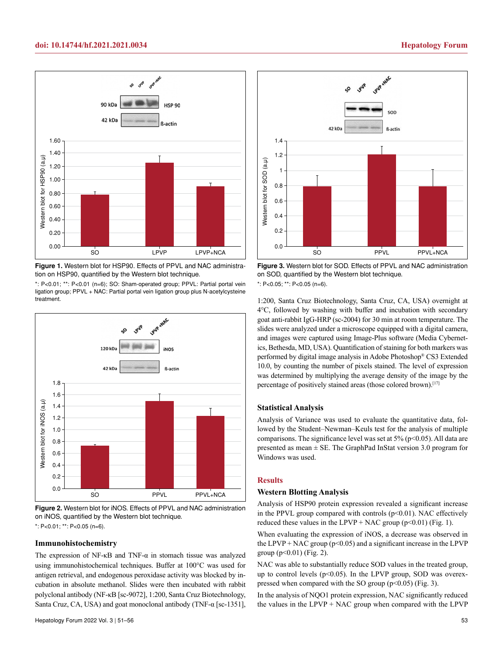

**Figure 1.** Western blot for HSP90. Effects of PPVL and NAC administration on HSP90, quantified by the Western blot technique.

\*: P<0.01; \*\*: P<0.01 (n=6); SO: Sham-operated group; PPVL: Partial portal vein ligation group; PPVL + NAC: Partial portal vein ligation group plus N-acetylcysteine treatment.



**Figure 2.** Western blot for iNOS. Effects of PPVL and NAC administration on iNOS, quantified by the Western blot technique.

## **Immunohistochemistry**

The expression of NF-κB and TNF-α in stomach tissue was analyzed using immunohistochemical techniques. Buffer at 100°C was used for antigen retrieval, and endogenous peroxidase activity was blocked by incubation in absolute methanol. Slides were then incubated with rabbit polyclonal antibody (NF-κB [sc-9072], 1:200, Santa Cruz Biotechnology, Santa Cruz, CA, USA) and goat monoclonal antibody (TNF-α [sc-1351],



**Figure 3.** Western blot for SOD. Effects of PPVL and NAC administration on SOD, quantified by the Western blot technique.

1:200, Santa Cruz Biotechnology, Santa Cruz, CA, USA) overnight at 4°C, followed by washing with buffer and incubation with secondary goat anti-rabbit IgG-HRP (sc-2004) for 30 min at room temperature. The slides were analyzed under a microscope equipped with a digital camera, and images were captured using Image-Plus software (Media Cybernetics, Bethesda, MD, USA). Quantification of staining for both markers was performed by digital image analysis in Adobe Photoshop® CS3 Extended 10.0, by counting the number of pixels stained. The level of expression was determined by multiplying the average density of the image by the percentage of positively stained areas (those colored brown).[17]

### **Statistical Analysis**

Analysis of Variance was used to evaluate the quantitative data, followed by the Student–Newman–Keuls test for the analysis of multiple comparisons. The significance level was set at  $5\%$  ( $p<0.05$ ). All data are presented as mean  $\pm$  SE. The GraphPad InStat version 3.0 program for Windows was used.

### **Results**

#### **Western Blotting Analysis**

Analysis of HSP90 protein expression revealed a significant increase in the PPVL group compared with controls  $(p<0.01)$ . NAC effectively reduced these values in the LPVP + NAC group ( $p$ <0.01) (Fig. 1).

When evaluating the expression of iNOS, a decrease was observed in the LPVP + NAC group ( $p$ <0.05) and a significant increase in the LPVP group  $(p<0.01)$  (Fig. 2).

NAC was able to substantially reduce SOD values in the treated group, up to control levels  $(p<0.05)$ . In the LPVP group, SOD was overexpressed when compared with the SO group  $(p<0.05)$  (Fig. 3).

In the analysis of NQO1 protein expression, NAC significantly reduced the values in the LPVP + NAC group when compared with the LPVP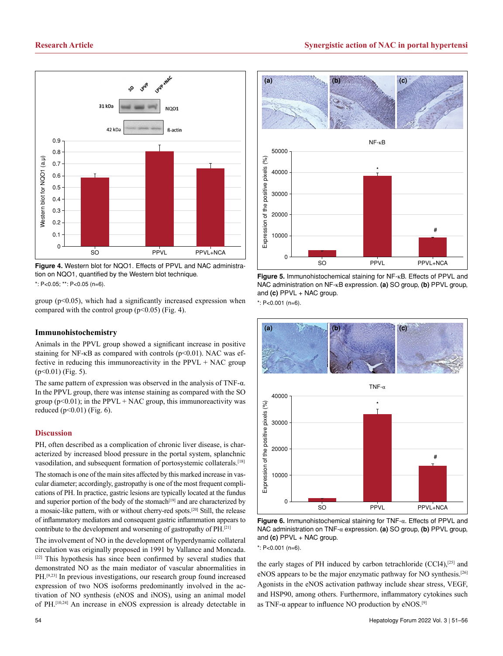

**Figure 4.** Western blot for NQO1. Effects of PPVL and NAC administration on NQO1, quantified by the Western blot technique.

group  $(p<0.05)$ , which had a significantly increased expression when compared with the control group  $(p<0.05)$  (Fig. 4).

### **Immunohistochemistry**

Animals in the PPVL group showed a significant increase in positive staining for NF- $\kappa$ B as compared with controls ( $p$ <0.01). NAC was effective in reducing this immunoreactivity in the PPVL + NAC group  $(p<0.01)$  (Fig. 5).

The same pattern of expression was observed in the analysis of TNF-α. In the PPVL group, there was intense staining as compared with the SO group ( $p<0.01$ ); in the PPVL + NAC group, this immunoreactivity was reduced ( $p<0.01$ ) (Fig. 6).

#### **Discussion**

PH, often described as a complication of chronic liver disease, is characterized by increased blood pressure in the portal system, splanchnic vasodilation, and subsequent formation of portosystemic collaterals.[18]

The stomach is one of the main sites affected by this marked increase in vascular diameter; accordingly, gastropathy is one of the most frequent complications of PH. In practice, gastric lesions are typically located at the fundus and superior portion of the body of the stomach<sup>[19]</sup> and are characterized by a mosaic-like pattern, with or without cherry-red spots.[20] Still, the release of inflammatory mediators and consequent gastric inflammation appears to contribute to the development and worsening of gastropathy of PH.[21]

The involvement of NO in the development of hyperdynamic collateral circulation was originally proposed in 1991 by Vallance and Moncada. [22] This hypothesis has since been confirmed by several studies that demonstrated NO as the main mediator of vascular abnormalities in PH.[9,23] In previous investigations, our research group found increased expression of two NOS isoforms predominantly involved in the activation of NO synthesis (eNOS and iNOS), using an animal model of PH.[10,24] An increase in eNOS expression is already detectable in







**Figure 6.** Immunohistochemical staining for TNF-α. Effects of PPVL and NAC administration on TNF-α expression. **(a)** SO group, **(b)** PPVL group, and **(c)** PPVL + NAC group.

the early stages of PH induced by carbon tetrachloride (CCl4),[25] and eNOS appears to be the major enzymatic pathway for NO synthesis.[26] Agonists in the eNOS activation pathway include shear stress, VEGF, and HSP90, among others. Furthermore, inflammatory cytokines such as TNF- $\alpha$  appear to influence NO production by eNOS.<sup>[9]</sup>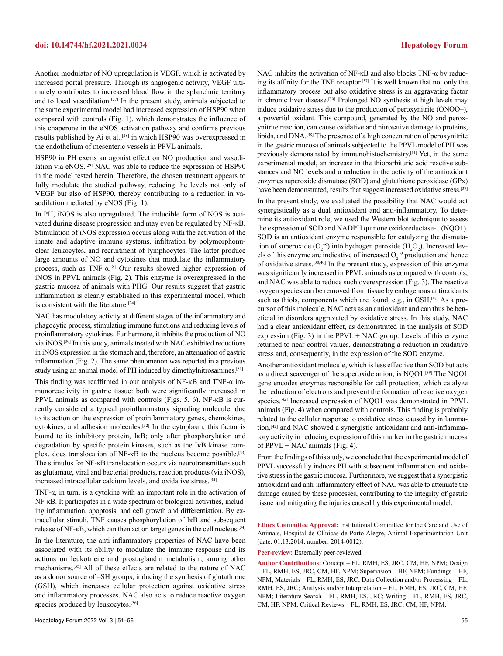Another modulator of NO upregulation is VEGF, which is activated by increased portal pressure. Through its angiogenic activity, VEGF ultimately contributes to increased blood flow in the splanchnic territory and to local vasodilation.[27] In the present study, animals subjected to the same experimental model had increased expression of HSP90 when compared with controls (Fig. 1), which demonstrates the influence of this chaperone in the eNOS activation pathway and confirms previous results published by Ai et al.,[28] in which HSP90 was overexpressed in the endothelium of mesenteric vessels in PPVL animals.

HSP90 in PH exerts an agonist effect on NO production and vasodilation via eNOS.[29] NAC was able to reduce the expression of HSP90 in the model tested herein. Therefore, the chosen treatment appears to fully modulate the studied pathway, reducing the levels not only of VEGF but also of HSP90, thereby contributing to a reduction in vasodilation mediated by eNOS (Fig. 1).

In PH, iNOS is also upregulated. The inducible form of NOS is activated during disease progression and may even be regulated by NF-κB. Stimulation of iNOS expression occurs along with the activation of the innate and adaptive immune systems, infiltration by polymorphonuclear leukocytes, and recruitment of lymphocytes. The latter produce large amounts of NO and cytokines that modulate the inflammatory process, such as  $TNF-\alpha$ <sup>[8]</sup> Our results showed higher expression of iNOS in PPVL animals (Fig. 2). This enzyme is overexpressed in the gastric mucosa of animals with PHG. Our results suggest that gastric inflammation is clearly established in this experimental model, which is consistent with the literature.<sup>[24]</sup>

NAC has modulatory activity at different stages of the inflammatory and phagocytic process, stimulating immune functions and reducing levels of proinflammatory cytokines. Furthermore, it inhibits the production of NO via iNOS.[30] In this study, animals treated with NAC exhibited reductions in iNOS expression in the stomach and, therefore, an attenuation of gastric inflammation (Fig. 2). The same phenomenon was reported in a previous study using an animal model of PH induced by dimethylnitrosamines.[31]

This finding was reaffirmed in our analysis of NF-κB and TNF-α immunoreactivity in gastric tissue: both were significantly increased in PPVL animals as compared with controls (Figs. 5, 6). NF-κB is currently considered a typical proinflammatory signaling molecule, due to its action on the expression of proinflammatory genes, chemokines, cytokines, and adhesion molecules.[32] In the cytoplasm, this factor is bound to its inhibitory protein, I<sub>KB</sub>; only after phosphorylation and degradation by specific protein kinases, such as the IκB kinase complex, does translocation of NF-κB to the nucleus become possible.<sup>[33]</sup> The stimulus for NF-κB translocation occurs via neurotransmitters such as glutamate, viral and bacterial products, reaction products (via iNOS), increased intracellular calcium levels, and oxidative stress.[34]

TNF-α, in turn, is a cytokine with an important role in the activation of NF-κB. It participates in a wide spectrum of biological activities, including inflammation, apoptosis, and cell growth and differentiation. By extracellular stimuli, TNF causes phosphorylation of IκB and subsequent release of NF-κB, which can then act on target genes in the cell nucleus.[34]

In the literature, the anti-inflammatory properties of NAC have been associated with its ability to modulate the immune response and its actions on leukotriene and prostaglandin metabolism, among other mechanisms.[35] All of these effects are related to the nature of NAC as a donor source of –SH groups, inducing the synthesis of glutathione (GSH), which increases cellular protection against oxidative stress and inflammatory processes. NAC also acts to reduce reactive oxygen species produced by leukocytes.<sup>[36]</sup>

NAC inhibits the activation of NF-κB and also blocks TNF-α by reducing its affinity for the TNF receptor.[37] It is well known that not only the inflammatory process but also oxidative stress is an aggravating factor in chronic liver disease.[30] Prolonged NO synthesis at high levels may induce oxidative stress due to the production of peroxynitrite (ONOO–), a powerful oxidant. This compound, generated by the NO and peroxynitrite reaction, can cause oxidative and nitrosative damage to proteins, lipids, and DNA.[38] The presence of a high concentration of peroxynitrite in the gastric mucosa of animals subjected to the PPVL model of PH was previously demonstrated by immunohistochemistry.[11] Yet, in the same experimental model, an increase in the thiobarbituric acid reactive substances and NO levels and a reduction in the activity of the antioxidant enzymes superoxide dismutase (SOD) and glutathione peroxidase (GPx) have been demonstrated, results that suggest increased oxidative stress.<sup>[39]</sup>

In the present study, we evaluated the possibility that NAC would act synergistically as a dual antioxidant and anti-inflammatory. To determine its antioxidant role, we used the Western blot technique to assess the expression of SOD and NADPH quinone oxidoreductase-1 (NQO1). SOD is an antioxidant enzyme responsible for catalyzing the dismutation of superoxide  $(O_2^{\text{-o}})$  into hydrogen peroxide  $(H_2O_2)$ . Increased levels of this enzyme are indicative of increased  $O_2^{\text{-o}}$  production and hence of oxidative stress.[30,40] In the present study, expression of this enzyme was significantly increased in PPVL animals as compared with controls, and NAC was able to reduce such overexpression (Fig. 3). The reactive oxygen species can be removed from tissue by endogenous antioxidants such as thiols, components which are found, e.g., in GSH.<sup>[41]</sup> As a precursor of this molecule, NAC acts as an antioxidant and can thus be beneficial in disorders aggravated by oxidative stress. In this study, NAC had a clear antioxidant effect, as demonstrated in the analysis of SOD expression (Fig. 3) in the PPVL  $+$  NAC group. Levels of this enzyme returned to near-control values, demonstrating a reduction in oxidative stress and, consequently, in the expression of the SOD enzyme.

Another antioxidant molecule, which is less effective than SOD but acts as a direct scavenger of the superoxide anion, is NQO1.[39] The NQO1 gene encodes enzymes responsible for cell protection, which catalyze the reduction of electrons and prevent the formation of reactive oxygen species.[42] Increased expression of NQO1 was demonstrated in PPVL animals (Fig. 4) when compared with controls. This finding is probably related to the cellular response to oxidative stress caused by inflammation,[42] and NAC showed a synergistic antioxidant and anti-inflammatory activity in reducing expression of this marker in the gastric mucosa of PPVL + NAC animals (Fig. 4).

From the findings of this study, we conclude that the experimental model of PPVL successfully induces PH with subsequent inflammation and oxidative stress in the gastric mucosa. Furthermore, we suggest that a synergistic antioxidant and anti-inflammatory effect of NAC was able to attenuate the damage caused by these processes, contributing to the integrity of gastric tissue and mitigating the injuries caused by this experimental model.

**Ethics Committee Approval:** Institutional Committee for the Care and Use of Animals, Hospital de Clínicas de Porto Alegre, Animal Experimentation Unit (date: 01.13.2014, number: 2014-0012).

**Peer-review:** Externally peer-reviewed.

**Author Contributions:** Concept – FL, RMH, ES, JRC, CM, HF, NPM; Design – FL, RMH, ES, JRC, CM, HF, NPM; Supervision – HF, NPM; Fundings – HF, NPM; Materials – FL, RMH, ES, JRC; Data Collection and/or Processing – FL, RMH, ES, JRC; Analysis and/or Interpretation – FL, RMH, ES, JRC, CM, HF, NPM; Literature Search – FL, RMH, ES, JRC; Writing – FL, RMH, ES, JRC, CM, HF, NPM; Critical Reviews – FL, RMH, ES, JRC, CM, HF, NPM.